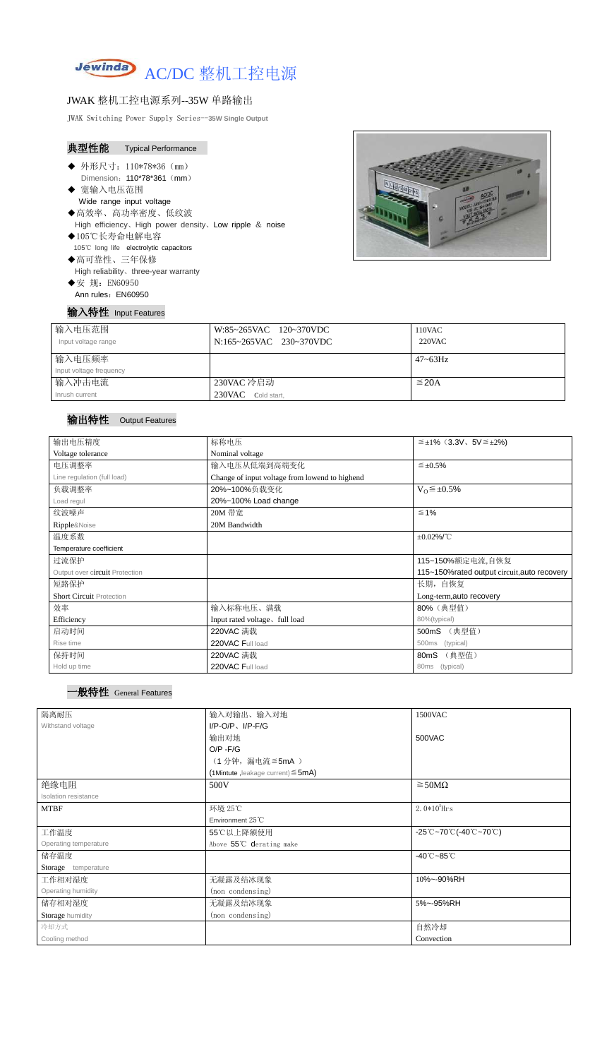

## JWAK 整机工控电源系列--35W 单路输出

JWAK Switching Power Supply Series--**35W Single Output**

|                                                   | 典型性能 Typical Performance                                                                                                |  |
|---------------------------------------------------|-------------------------------------------------------------------------------------------------------------------------|--|
| ◆ 宽输入电压范围                                         | ◆ 外形尺寸: 110*78*36 (mm)<br>Dimension: 110*78*361 (mm)<br>Wide range input voltage                                        |  |
| ◆105℃长寿命电解电容                                      | ◆高效率、高功率密度、低纹波<br>High efficiency, High power density, Low ripple $\&$ noise<br>105°C long life electrolytic capacitors |  |
| ◆高可靠性、三年保修<br>◆安 规: EN60950<br>Ann rules: EN60950 | High reliability, three-year warranty                                                                                   |  |
|                                                   | ∖特性   Input Features                                                                                                    |  |



| 输入电压范围<br>Input voltage range | W:85~265VAC 120~370VDC<br>N:165~265VAC 230~370VDC | 110VAC<br>$220$ VAC |
|-------------------------------|---------------------------------------------------|---------------------|
| 输入电压频率                        |                                                   | $47 - 63$ Hz        |
| Input voltage frequency       |                                                   |                     |
| 输入冲击电流                        | 230VAC 冷启动                                        | $\leq$ 20A          |
| Inrush current                | 230VAC Cold start,                                |                     |

## 输出特性Output Features

## 一般特性 General Features

| 输出电压精度                          | 标称电压                                           | $\leq \pm 1\%$ (3.3V, 5V $\leq \pm 2\%$ )    |  |
|---------------------------------|------------------------------------------------|----------------------------------------------|--|
| Voltage tolerance               | Nominal voltage                                |                                              |  |
| 电压调整率                           | 输入电压从低端到高端变化                                   | $\leq \pm 0.5\%$                             |  |
| Line regulation (full load)     | Change of input voltage from lowend to highend |                                              |  |
| 负载调整率                           | 20%~100%负载变化                                   | $V_0 \leq \pm 0.5\%$                         |  |
| Load regul                      | 20%~100% Load change                           |                                              |  |
| 纹波噪声                            | 20M 带宽                                         | $\leq 1\%$                                   |  |
| Ripple&Noise                    | 20M Bandwidth                                  |                                              |  |
| 温度系数                            |                                                | $\pm 0.02\%$ /°C                             |  |
| Temperature coefficient         |                                                |                                              |  |
| 过流保护                            |                                                | 115~150%额定电流,自恢复                             |  |
| Output over circuit Protection  |                                                | 115~150% rated output circuit, auto recovery |  |
| 短路保护                            |                                                | 长期, 自恢复                                      |  |
| <b>Short Circuit Protection</b> |                                                | Long-term, auto recovery                     |  |
| 效率                              | 输入标称电压、满载                                      | 80% (典型值)                                    |  |
| Efficiency                      | Input rated voltage, full load                 | 80%(typical)                                 |  |
| 启动时间                            | 220VAC 满载                                      | (典型值)<br>500mS                               |  |
| Rise time                       | 220VAC Full load                               | (typical)<br>500ms                           |  |
| 保持时间                            | 220VAC 满载                                      | (典型值)<br>80mS                                |  |
| Hold up time                    | 220VAC Full load                               | 80ms (typical)                               |  |

| 隔离耐压                  | 输入对输出、输入对地                              | 1500VAC                                                                               |  |
|-----------------------|-----------------------------------------|---------------------------------------------------------------------------------------|--|
| Withstand voltage     | $I/P-O/P$ , $I/P-F/G$                   |                                                                                       |  |
|                       | 输出对地                                    | 500VAC                                                                                |  |
|                       | $O/P - F/G$                             |                                                                                       |  |
|                       | (1分钟,漏电流≦5mA)                           |                                                                                       |  |
|                       | (1Mintute, leakage current) $\leq$ 5mA) |                                                                                       |  |
| 绝缘电阻                  | 500V                                    | $\geq$ 50M $\Omega$                                                                   |  |
| Isolation resistance  |                                         |                                                                                       |  |
| <b>MTBF</b>           | 环境 25℃                                  | 2. $0*10^5$ Hrs                                                                       |  |
|                       | Environment 25°C                        |                                                                                       |  |
| 工作温度                  | 55℃以上降额使用                               | $-25^{\circ}\text{C}-70^{\circ}\text{C}$ (-40 $^{\circ}\text{C}-70^{\circ}\text{C}$ ) |  |
| Operating temperature | Above 55℃ derating make                 |                                                                                       |  |
| 储存温度                  |                                         | $-40^{\circ}$ C $-85^{\circ}$ C                                                       |  |
| Storage temperature   |                                         |                                                                                       |  |
| 工作相对湿度                | 无凝露及结冰现象                                | 10%~-90%RH                                                                            |  |
| Operating humidity    | (non condensing)                        |                                                                                       |  |
| 储存相对湿度                | 无凝露及结冰现象                                | 5%~-95%RH                                                                             |  |
| Storage humidity      | (non condensing)                        |                                                                                       |  |
| 冷却方式                  |                                         | 自然冷却                                                                                  |  |
| Cooling method        |                                         | Convection                                                                            |  |